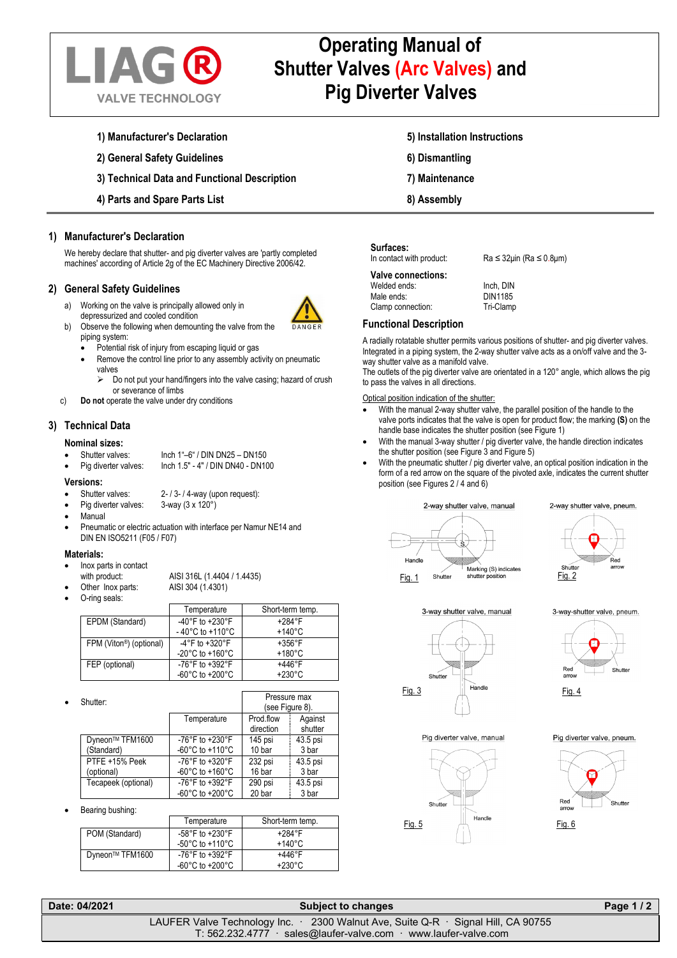

# **Operating Manual of Shutter Valves (Arc Valves) and Pig Diverter Valves**

- **1) Manufacturer's Declaration**
- **2) General Safety Guidelines**
- **3) Technical Data and Functional Description**
- **4) Parts and Spare Parts List**

## **1) Manufacturer's Declaration**

We hereby declare that shutter- and pig diverter valves are 'partly completed machines' according of Article 2g of the EC Machinery Directive 2006/42.

### **2) General Safety Guidelines**

- a) Working on the valve is principally allowed only in depressurized and cooled condition
- b) Observe the following when demounting the valve from the piping system:
	- Potential risk of injury from escaping liquid or gas
	- Remove the control line prior to any assembly activity on pneumatic valves
		- Do not put your hand/fingers into the valve casing; hazard of crush or severance of limbs
- c) **Do not** operate the valve under dry conditions

## **3) Technical Data**

### **Nominal sizes:**

- Shutter valves: Inch 1"–6" / DIN DN25 DN150
- Inch 1.5" 4" / DIN DN40 DN100

### **Versions:**

- Shutter valves:  $2 13 14$ -way (upon request):<br>Pig diverter valves:  $3 way (3 \times 120^\circ)$
- Pig diverter valves:
- Manual
- Pneumatic or electric actuation with interface per Namur NE14 and DIN EN ISO5211 (F05 / F07)

### **Materials:**

• Inox parts in contact

with product: AISI 316L (1.4404 / 1.4435)

• Other Inox parts: AISI 304 (1.4301)

• O-ring seals:

|                                      | Temperature                         | Short-term temp. |
|--------------------------------------|-------------------------------------|------------------|
| EPDM (Standard)                      | -40°F to +230°F                     | $+284$ °F        |
|                                      | $-40^{\circ}$ C to $+110^{\circ}$ C | $+140^{\circ}$ C |
| FPM (Viton <sup>®</sup> ) (optional) | $-4^{\circ}$ F to $+320^{\circ}$ F  | $+356^{\circ}$ F |
|                                      | $-20^{\circ}$ C to $+160^{\circ}$ C | $+180^{\circ}$ C |
| FEP (optional)                       | -76°F to +392°F                     | $+446^{\circ}F$  |
|                                      | $-60^{\circ}$ C to $+200^{\circ}$ C | $+230^{\circ}$ C |

| $\bullet$ | Shutter:                      |                                                          | Pressure max<br>(see Figure 8). |                    |
|-----------|-------------------------------|----------------------------------------------------------|---------------------------------|--------------------|
|           |                               | Temperature                                              | Prod flow<br>direction          | Against<br>shutter |
|           | Dyneon™ TFM1600<br>(Standard) | -76°F to +230°F<br>$-60^{\circ}$ C to $+110^{\circ}$ C   | 145 psi<br>10 bar               | 43.5 psi<br>3 bar  |
|           | PTFE +15% Peek<br>(optional)  | -76°F to +320°F<br>-60 $^{\circ}$ C to +160 $^{\circ}$ C | 232 psi<br>16 bar               | 43.5 psi<br>3 bar  |
|           | Tecapeek (optional)           | -76°F to +392°F<br>-60 $^{\circ}$ C to +200 $^{\circ}$ C | 290 psi<br>20 bar               | 43.5 psi<br>3 bar  |

Bearing bushing:

|                 | Temperature                           | Short-term temp. |
|-----------------|---------------------------------------|------------------|
| POM (Standard)  | -58°F to +230°F                       | $+284$ °F        |
|                 | -50 $^{\circ}$ C to +110 $^{\circ}$ C | +140°C           |
| Dyneon™ TFM1600 | -76°F to +392°F                       | +446°F           |
|                 | -60 $^{\circ}$ C to +200 $^{\circ}$ C | $+230^{\circ}$ C |

- **5) Installation Instructions**
- **6) Dismantling**
- **7) Maintenance**
- **8) Assembly**

**Surfaces:**<br>In contact with product:

**Valve connections:** Welded ends:<br>
Male ends<br>
Male ends<br>
Invitable Male ends: DIN1185<br>Clamp connection: Tri-Clamp Clamp connection:

### **Functional Description**

A radially rotatable shutter permits various positions of shutter- and pig diverter valves. Integrated in a piping system, the 2-way shutter valve acts as a on/off valve and the 3 way shutter valve as a manifold valve.

 $Ra \leq 32$ μin (Ra  $\leq 0.8$ μm)

The outlets of the pig diverter valve are orientated in a 120° angle, which allows the pig to pass the valves in all directions.

Optical position indication of the shutter:

- With the manual 2-way shutter valve, the parallel position of the handle to the valve ports indicates that the valve is open for product flow; the marking **(S)** on the handle base indicates the shutter position (see Figure 1)
- With the manual 3-way shutter / pig diverter valve, the handle direction indicates the shutter position (see Figure 3 and Figure 5)
- With the pneumatic shutter / pig diverter valve, an optical position indication in the form of a red arrow on the square of the pivoted axle, indicates the current shutter position (see Figures 2 / 4 and 6)





Fig. 2



3-way-shutter valve, pneum.



Pig diverter valve, manual



Pig diverter valve, pneum.



| Date: 04/2021 | <b>Subject to changes</b>                                                                     | Page 1/2 |
|---------------|-----------------------------------------------------------------------------------------------|----------|
|               | LAUFER Valve Technology Inc. $\cdot$ 2300 Walnut Ave, Suite Q-R $\cdot$ Signal Hill, CA 90755 |          |
|               | $T: 562.232.4777$ sales@laufer-valve.com www.laufer-valve.com                                 |          |



2-way shutter valve, pneum.